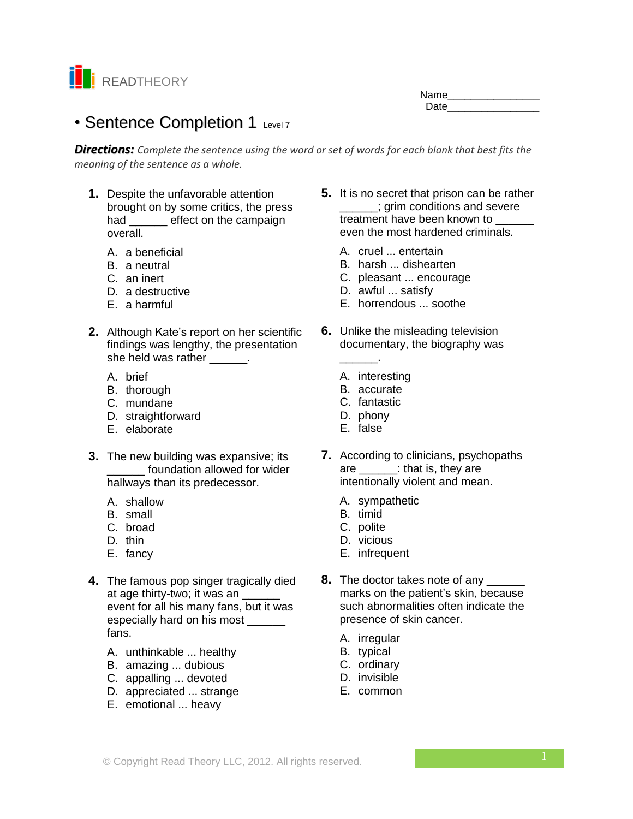

Name\_\_\_\_\_\_\_\_\_\_\_\_\_\_\_\_ Date

# • Sentence Completion 1 Level 7

*Directions: Complete the sentence using the word or set of words for each blank that best fits the meaning of the sentence as a whole.*

- **1.** Despite the unfavorable attention brought on by some critics, the press had \_\_\_\_\_\_ effect on the campaign overall.
	- A. a beneficial
	- B. a neutral
	- C. an inert
	- D. a destructive
	- E. a harmful
- **2.** Although Kate's report on her scientific findings was lengthy, the presentation she held was rather \_\_\_\_\_\_.
	- A. brief
	- B. thorough
	- C. mundane
	- D. straightforward
	- E. elaborate
- **3.** The new building was expansive; its \_\_\_\_\_\_ foundation allowed for wider hallways than its predecessor.
	- A. shallow
	- B. small
	- C. broad
	- D. thin
	- E. fancy
- **4.** The famous pop singer tragically died at age thirty-two; it was an event for all his many fans, but it was especially hard on his most \_\_\_\_\_\_ fans.
	- A. unthinkable ... healthy
	- B. amazing ... dubious
	- C. appalling ... devoted
	- D. appreciated ... strange
	- E. emotional ... heavy
- **5.** It is no secret that prison can be rather \_\_\_\_\_\_; grim conditions and severe treatment have been known to even the most hardened criminals.
	- A. cruel ... entertain
	- B. harsh ... dishearten
	- C. pleasant ... encourage
	- D. awful ... satisfy
	- E. horrendous ... soothe
- **6.** Unlike the misleading television documentary, the biography was \_\_\_\_\_\_.
	- A. interesting
	- B. accurate
	- C. fantastic
	- D. phony
	- E. false
	-
- **7.** According to clinicians, psychopaths are \_\_\_\_\_\_: that is, they are intentionally violent and mean.
	- A. sympathetic
	- B. timid
	- C. polite
	- D. vicious
	- E. infrequent
- **8.** The doctor takes note of any \_\_\_\_\_\_ marks on the patient's skin, because such abnormalities often indicate the presence of skin cancer.
	- A. irregular
	- B. typical
	- C. ordinary
	- D. invisible
	- E. common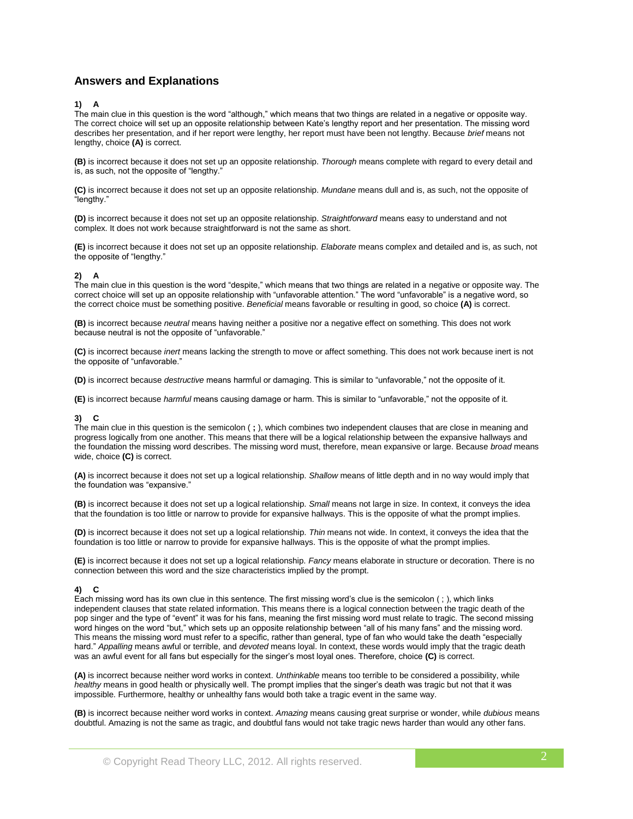# **Answers and Explanations**

#### **1) A**

The main clue in this question is the word "although," which means that two things are related in a negative or opposite way. The correct choice will set up an opposite relationship between Kate's lengthy report and her presentation. The missing word describes her presentation, and if her report were lengthy, her report must have been not lengthy. Because *brief* means not lengthy, choice **(A)** is correct.

**(B)** is incorrect because it does not set up an opposite relationship. *Thorough* means complete with regard to every detail and is, as such, not the opposite of "lengthy."

**(C)** is incorrect because it does not set up an opposite relationship. *Mundane* means dull and is, as such, not the opposite of "lengthy."

**(D)** is incorrect because it does not set up an opposite relationship. *Straightforward* means easy to understand and not complex. It does not work because straightforward is not the same as short.

**(E)** is incorrect because it does not set up an opposite relationship. *Elaborate* means complex and detailed and is, as such, not the opposite of "lengthy."

## **2) A**

The main clue in this question is the word "despite," which means that two things are related in a negative or opposite way. The correct choice will set up an opposite relationship with "unfavorable attention." The word "unfavorable" is a negative word, so the correct choice must be something positive. *Beneficial* means favorable or resulting in good, so choice **(A)** is correct.

**(B)** is incorrect because *neutral* means having neither a positive nor a negative effect on something. This does not work because neutral is not the opposite of "unfavorable."

**(C)** is incorrect because *inert* means lacking the strength to move or affect something. This does not work because inert is not the opposite of "unfavorable."

**(D)** is incorrect because *destructive* means harmful or damaging. This is similar to "unfavorable," not the opposite of it.

**(E)** is incorrect because *harmful* means causing damage or harm. This is similar to "unfavorable," not the opposite of it.

#### **3) C**

The main clue in this question is the semicolon ( **;** ), which combines two independent clauses that are close in meaning and progress logically from one another. This means that there will be a logical relationship between the expansive hallways and the foundation the missing word describes. The missing word must, therefore, mean expansive or large. Because *broad* means wide, choice **(C)** is correct.

**(A)** is incorrect because it does not set up a logical relationship. *Shallow* means of little depth and in no way would imply that the foundation was "expansive."

**(B)** is incorrect because it does not set up a logical relationship. *Small* means not large in size. In context, it conveys the idea that the foundation is too little or narrow to provide for expansive hallways. This is the opposite of what the prompt implies.

**(D)** is incorrect because it does not set up a logical relationship. *Thin* means not wide. In context, it conveys the idea that the foundation is too little or narrow to provide for expansive hallways. This is the opposite of what the prompt implies.

**(E)** is incorrect because it does not set up a logical relationship. *Fancy* means elaborate in structure or decoration. There is no connection between this word and the size characteristics implied by the prompt.

## **4) C**

Each missing word has its own clue in this sentence. The first missing word's clue is the semicolon ( ; ), which links independent clauses that state related information. This means there is a logical connection between the tragic death of the pop singer and the type of "event" it was for his fans, meaning the first missing word must relate to tragic. The second missing word hinges on the word "but," which sets up an opposite relationship between "all of his many fans" and the missing word. This means the missing word must refer to a specific, rather than general, type of fan who would take the death "especially hard." *Appalling* means awful or terrible, and *devoted* means loyal. In context, these words would imply that the tragic death was an awful event for all fans but especially for the singer's most loyal ones. Therefore, choice **(C)** is correct.

**(A)** is incorrect because neither word works in context. *Unthinkable* means too terrible to be considered a possibility, while *healthy* means in good health or physically well. The prompt implies that the singer's death was tragic but not that it was impossible. Furthermore, healthy or unhealthy fans would both take a tragic event in the same way.

**(B)** is incorrect because neither word works in context. *Amazing* means causing great surprise or wonder, while *dubious* means doubtful. Amazing is not the same as tragic, and doubtful fans would not take tragic news harder than would any other fans.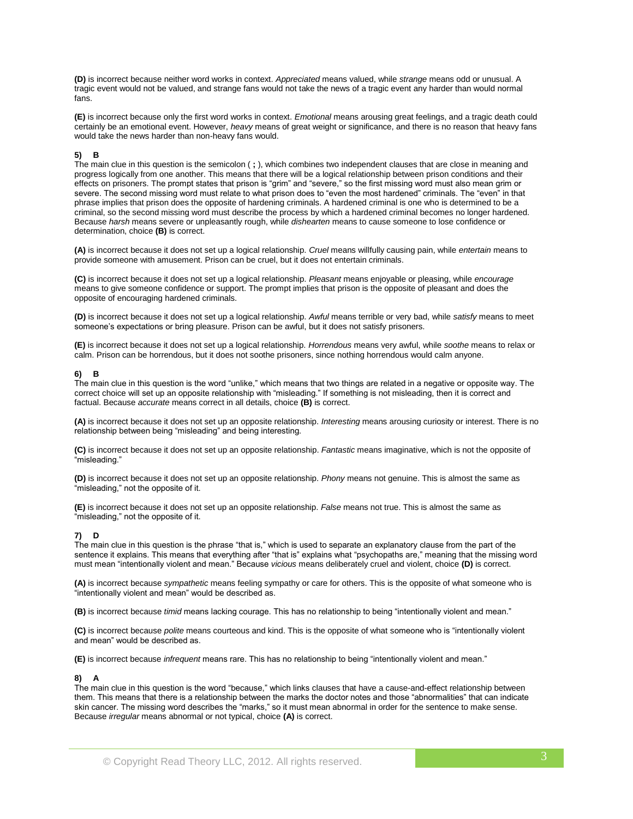**(D)** is incorrect because neither word works in context. *Appreciated* means valued, while *strange* means odd or unusual. A tragic event would not be valued, and strange fans would not take the news of a tragic event any harder than would normal fans.

**(E)** is incorrect because only the first word works in context. *Emotional* means arousing great feelings, and a tragic death could certainly be an emotional event. However, *heavy* means of great weight or significance, and there is no reason that heavy fans would take the news harder than non-heavy fans would.

## **5) B**

The main clue in this question is the semicolon ( **;** ), which combines two independent clauses that are close in meaning and progress logically from one another. This means that there will be a logical relationship between prison conditions and their effects on prisoners. The prompt states that prison is "grim" and "severe," so the first missing word must also mean grim or severe. The second missing word must relate to what prison does to "even the most hardened" criminals. The "even" in that phrase implies that prison does the opposite of hardening criminals. A hardened criminal is one who is determined to be a criminal, so the second missing word must describe the process by which a hardened criminal becomes no longer hardened. Because *harsh* means severe or unpleasantly rough, while *dishearten* means to cause someone to lose confidence or determination, choice **(B)** is correct.

**(A)** is incorrect because it does not set up a logical relationship. *Cruel* means willfully causing pain, while *entertain* means to provide someone with amusement. Prison can be cruel, but it does not entertain criminals.

**(C)** is incorrect because it does not set up a logical relationship. *Pleasant* means enjoyable or pleasing, while *encourage*  means to give someone confidence or support. The prompt implies that prison is the opposite of pleasant and does the opposite of encouraging hardened criminals.

**(D)** is incorrect because it does not set up a logical relationship. *Awful* means terrible or very bad, while *satisfy* means to meet someone's expectations or bring pleasure. Prison can be awful, but it does not satisfy prisoners.

**(E)** is incorrect because it does not set up a logical relationship. *Horrendous* means very awful, while *soothe* means to relax or calm. Prison can be horrendous, but it does not soothe prisoners, since nothing horrendous would calm anyone.

#### **6) B**

The main clue in this question is the word "unlike," which means that two things are related in a negative or opposite way. The correct choice will set up an opposite relationship with "misleading." If something is not misleading, then it is correct and factual. Because *accurate* means correct in all details, choice **(B)** is correct.

**(A)** is incorrect because it does not set up an opposite relationship. *Interesting* means arousing curiosity or interest. There is no relationship between being "misleading" and being interesting.

**(C)** is incorrect because it does not set up an opposite relationship. *Fantastic* means imaginative, which is not the opposite of "misleading."

**(D)** is incorrect because it does not set up an opposite relationship. *Phony* means not genuine. This is almost the same as "misleading," not the opposite of it.

**(E)** is incorrect because it does not set up an opposite relationship. *False* means not true. This is almost the same as "misleading," not the opposite of it.

## **7) D**

The main clue in this question is the phrase "that is," which is used to separate an explanatory clause from the part of the sentence it explains. This means that everything after "that is" explains what "psychopaths are," meaning that the missing word must mean "intentionally violent and mean." Because *vicious* means deliberately cruel and violent, choice **(D)** is correct.

**(A)** is incorrect because *sympathetic* means feeling sympathy or care for others. This is the opposite of what someone who is "intentionally violent and mean" would be described as.

**(B)** is incorrect because *timid* means lacking courage. This has no relationship to being "intentionally violent and mean."

**(C)** is incorrect because *polite* means courteous and kind. This is the opposite of what someone who is "intentionally violent and mean" would be described as.

**(E)** is incorrect because *infrequent* means rare. This has no relationship to being "intentionally violent and mean."

## **8) A**

The main clue in this question is the word "because," which links clauses that have a cause-and-effect relationship between them. This means that there is a relationship between the marks the doctor notes and those "abnormalities" that can indicate skin cancer. The missing word describes the "marks," so it must mean abnormal in order for the sentence to make sense. Because *irregular* means abnormal or not typical, choice **(A)** is correct.